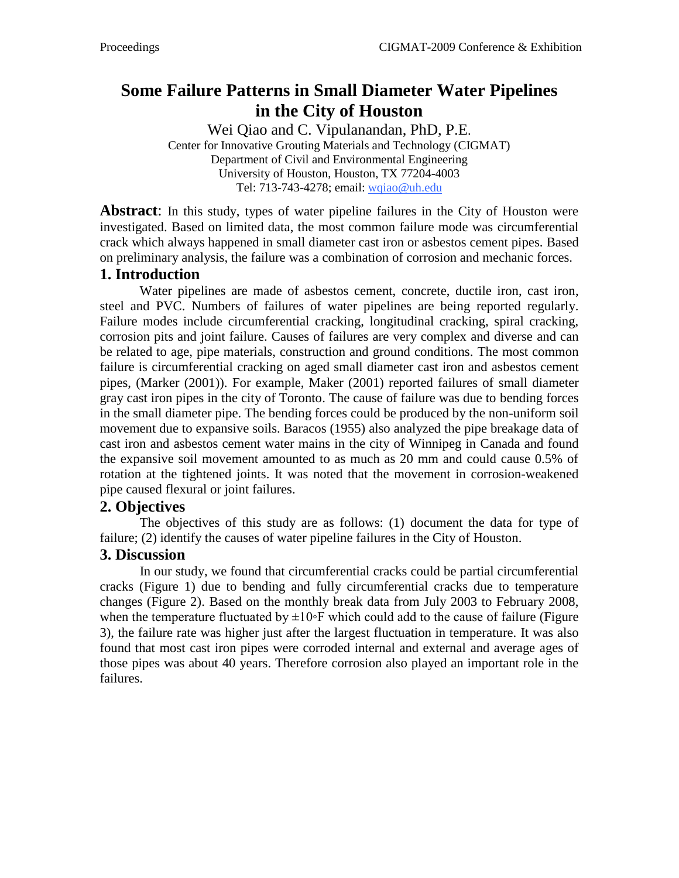# **Some Failure Patterns in Small Diameter Water Pipelines in the City of Houston**

Wei Qiao and C. Vipulanandan, PhD, P.E. Center for Innovative Grouting Materials and Technology (CIGMAT) Department of Civil and Environmental Engineering University of Houston, Houston, TX 77204-4003 Tel: 713-743-4278; email: wqiao@uh.edu

**Abstract:** In this study, types of water pipeline failures in the City of Houston were investigated. Based on limited data, the most common failure mode was circumferential crack which always happened in small diameter cast iron or asbestos cement pipes. Based on preliminary analysis, the failure was a combination of corrosion and mechanic forces.

#### **1. Introduction**

Water pipelines are made of asbestos cement, concrete, ductile iron, cast iron, steel and PVC. Numbers of failures of water pipelines are being reported regularly. Failure modes include circumferential cracking, longitudinal cracking, spiral cracking, corrosion pits and joint failure. Causes of failures are very complex and diverse and can be related to age, pipe materials, construction and ground conditions. The most common failure is circumferential cracking on aged small diameter cast iron and asbestos cement pipes, (Marker (2001)). For example, Maker (2001) reported failures of small diameter gray cast iron pipes in the city of Toronto. The cause of failure was due to bending forces in the small diameter pipe. The bending forces could be produced by the non-uniform soil movement due to expansive soils. Baracos (1955) also analyzed the pipe breakage data of cast iron and asbestos cement water mains in the city of Winnipeg in Canada and found the expansive soil movement amounted to as much as 20 mm and could cause 0.5% of rotation at the tightened joints. It was noted that the movement in corrosion-weakened pipe caused flexural or joint failures.

#### **2. Objectives**

The objectives of this study are as follows: (1) document the data for type of failure; (2) identify the causes of water pipeline failures in the City of Houston.

#### **3. Discussion**

 In our study, we found that circumferential cracks could be partial circumferential cracks (Figure 1) due to bending and fully circumferential cracks due to temperature changes (Figure 2). Based on the monthly break data from July 2003 to February 2008, when the temperature fluctuated by  $\pm 10$ <sup>o</sup>F which could add to the cause of failure (Figure 3), the failure rate was higher just after the largest fluctuation in temperature. It was also found that most cast iron pipes were corroded internal and external and average ages of those pipes was about 40 years. Therefore corrosion also played an important role in the failures.